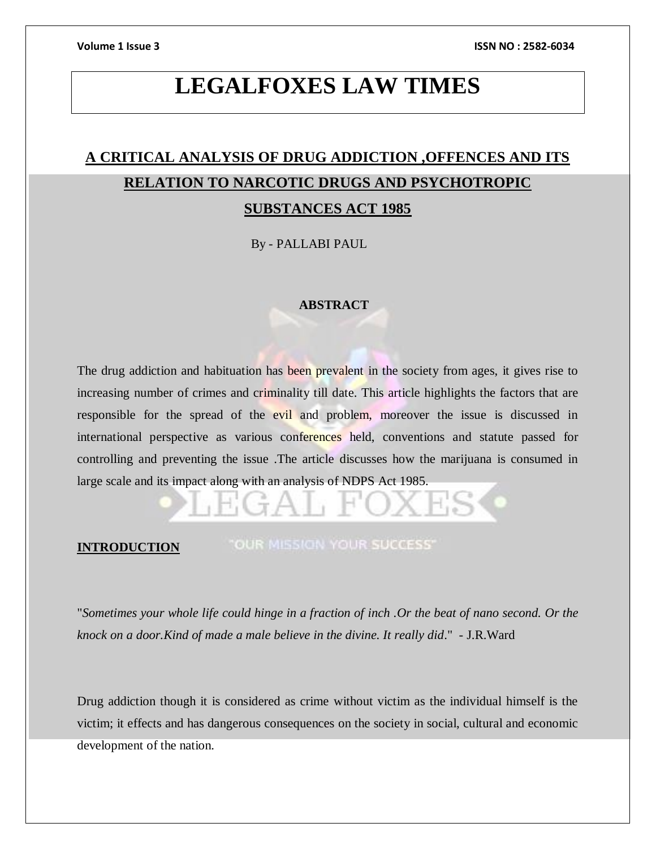# **LEGALFOXES LAW TIMES**

# **A CRITICAL ANALYSIS OF DRUG ADDICTION ,OFFENCES AND ITS RELATION TO NARCOTIC DRUGS AND PSYCHOTROPIC SUBSTANCES ACT 1985**

By - PALLABI PAUL

# **ABSTRACT**

The drug addiction and habituation has been prevalent in the society from ages, it gives rise to increasing number of crimes and criminality till date. This article highlights the factors that are responsible for the spread of the evil and problem, moreover the issue is discussed in international perspective as various conferences held, conventions and statute passed for controlling and preventing the issue .The article discusses how the marijuana is consumed in large scale and its impact along with an analysis of NDPS Act 1985.

### **INTRODUCTION**

"OUR MISSION YOUR SUCCESS"

"*Sometimes your whole life could hinge in a fraction of inch .Or the beat of nano second. Or the knock on a door.Kind of made a male believe in the divine. It really did*." - J.R.Ward

Drug addiction though it is considered as crime without victim as the individual himself is the victim; it effects and has dangerous consequences on the society in social, cultural and economic development of the nation.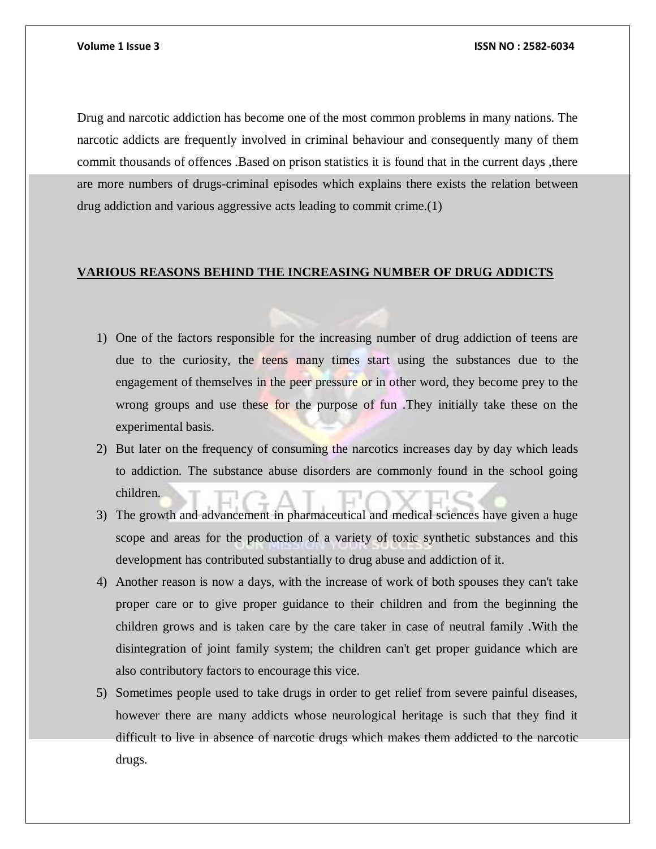Drug and narcotic addiction has become one of the most common problems in many nations. The narcotic addicts are frequently involved in criminal behaviour and consequently many of them commit thousands of offences .Based on prison statistics it is found that in the current days ,there are more numbers of drugs-criminal episodes which explains there exists the relation between drug addiction and various aggressive acts leading to commit crime.(1)

### **VARIOUS REASONS BEHIND THE INCREASING NUMBER OF DRUG ADDICTS**

- 1) One of the factors responsible for the increasing number of drug addiction of teens are due to the curiosity, the teens many times start using the substances due to the engagement of themselves in the peer pressure or in other word, they become prey to the wrong groups and use these for the purpose of fun .They initially take these on the experimental basis.
- 2) But later on the frequency of consuming the narcotics increases day by day which leads to addiction. The substance abuse disorders are commonly found in the school going children.
- 3) The growth and advancement in pharmaceutical and medical sciences have given a huge scope and areas for the production of a variety of toxic synthetic substances and this development has contributed substantially to drug abuse and addiction of it.
- 4) Another reason is now a days, with the increase of work of both spouses they can't take proper care or to give proper guidance to their children and from the beginning the children grows and is taken care by the care taker in case of neutral family .With the disintegration of joint family system; the children can't get proper guidance which are also contributory factors to encourage this vice.
- 5) Sometimes people used to take drugs in order to get relief from severe painful diseases, however there are many addicts whose neurological heritage is such that they find it difficult to live in absence of narcotic drugs which makes them addicted to the narcotic drugs.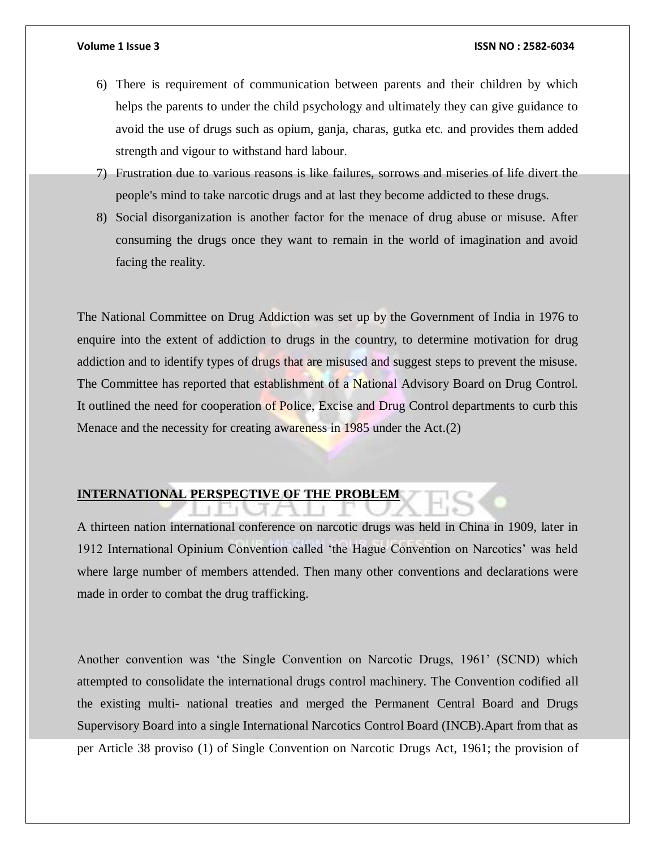- 6) There is requirement of communication between parents and their children by which helps the parents to under the child psychology and ultimately they can give guidance to avoid the use of drugs such as opium, ganja, charas, gutka etc. and provides them added strength and vigour to withstand hard labour.
- 7) Frustration due to various reasons is like failures, sorrows and miseries of life divert the people's mind to take narcotic drugs and at last they become addicted to these drugs.
- 8) Social disorganization is another factor for the menace of drug abuse or misuse. After consuming the drugs once they want to remain in the world of imagination and avoid facing the reality.

The National Committee on Drug Addiction was set up by the Government of India in 1976 to enquire into the extent of addiction to drugs in the country, to determine motivation for drug addiction and to identify types of drugs that are misused and suggest steps to prevent the misuse. The Committee has reported that establishment of a National Advisory Board on Drug Control. It outlined the need for cooperation of Police, Excise and Drug Control departments to curb this Menace and the necessity for creating awareness in 1985 under the Act.(2)

# **INTERNATIONAL PERSPECTIVE OF THE PROBLEM**

A thirteen nation international conference on narcotic drugs was held in China in 1909, later in 1912 International Opinium Convention called 'the Hague Convention on Narcotics' was held where large number of members attended. Then many other conventions and declarations were made in order to combat the drug trafficking.

Another convention was 'the Single Convention on Narcotic Drugs, 1961' (SCND) which attempted to consolidate the international drugs control machinery. The Convention codified all the existing multi- national treaties and merged the Permanent Central Board and Drugs Supervisory Board into a single International Narcotics Control Board (INCB).Apart from that as per Article 38 proviso (1) of Single Convention on Narcotic Drugs Act, 1961; the provision of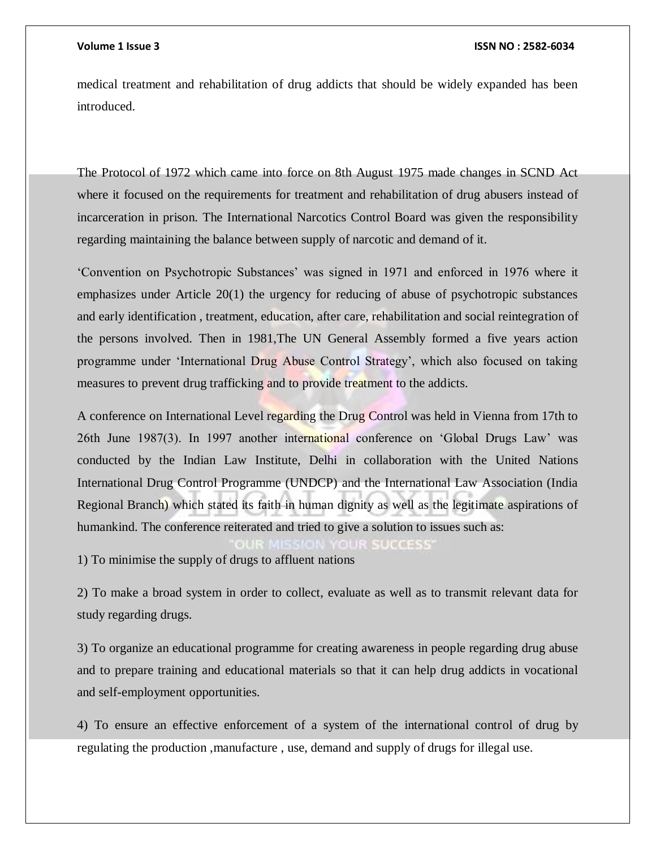medical treatment and rehabilitation of drug addicts that should be widely expanded has been introduced.

The Protocol of 1972 which came into force on 8th August 1975 made changes in SCND Act where it focused on the requirements for treatment and rehabilitation of drug abusers instead of incarceration in prison. The International Narcotics Control Board was given the responsibility regarding maintaining the balance between supply of narcotic and demand of it.

'Convention on Psychotropic Substances' was signed in 1971 and enforced in 1976 where it emphasizes under Article 20(1) the urgency for reducing of abuse of psychotropic substances and early identification , treatment, education, after care, rehabilitation and social reintegration of the persons involved. Then in 1981,The UN General Assembly formed a five years action programme under 'International Drug Abuse Control Strategy', which also focused on taking measures to prevent drug trafficking and to provide treatment to the addicts.

A conference on International Level regarding the Drug Control was held in Vienna from 17th to 26th June 1987(3). In 1997 another international conference on 'Global Drugs Law' was conducted by the Indian Law Institute, Delhi in collaboration with the United Nations International Drug Control Programme (UNDCP) and the International Law Association (India Regional Branch) which stated its faith in human dignity as well as the legitimate aspirations of humankind. The conference reiterated and tried to give a solution to issues such as:

1) To minimise the supply of drugs to affluent nations

2) To make a broad system in order to collect, evaluate as well as to transmit relevant data for study regarding drugs.

3) To organize an educational programme for creating awareness in people regarding drug abuse and to prepare training and educational materials so that it can help drug addicts in vocational and self-employment opportunities.

4) To ensure an effective enforcement of a system of the international control of drug by regulating the production ,manufacture , use, demand and supply of drugs for illegal use.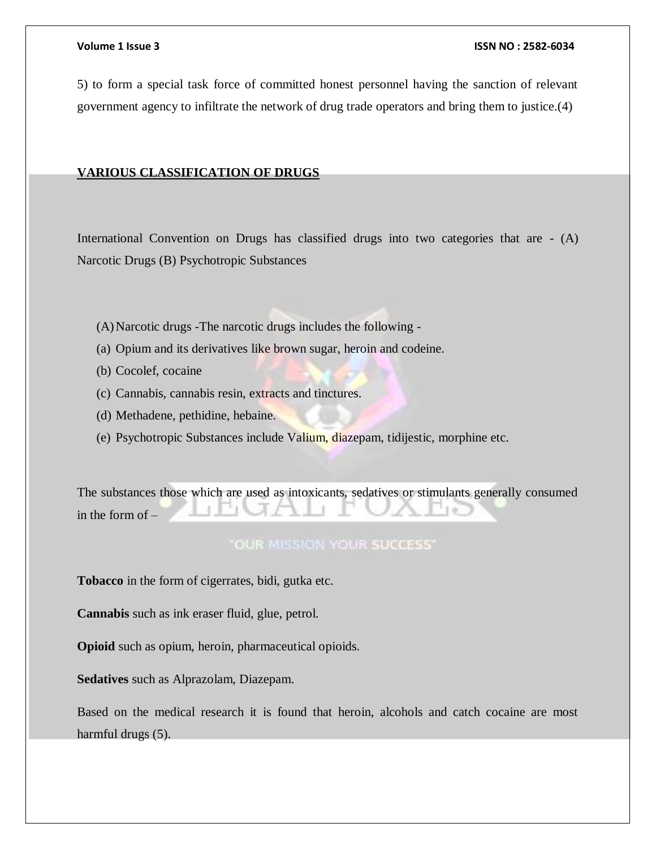5) to form a special task force of committed honest personnel having the sanction of relevant government agency to infiltrate the network of drug trade operators and bring them to justice.(4)

## **VARIOUS CLASSIFICATION OF DRUGS**

International Convention on Drugs has classified drugs into two categories that are - (A) Narcotic Drugs (B) Psychotropic Substances

- (A)Narcotic drugs -The narcotic drugs includes the following -
- (a) Opium and its derivatives like brown sugar, heroin and codeine.
- (b) Cocolef, cocaine
- (c) Cannabis, cannabis resin, extracts and tinctures.
- (d) Methadene, pethidine, hebaine.
- (e) Psychotropic Substances include Valium, diazepam, tidijestic, morphine etc.

The substances those which are used as intoxicants, sedatives or stimulants generally consumed in the form of –

# **"OUR MISSION YOUR SUCCESS"**

**Tobacco** in the form of cigerrates, bidi, gutka etc.

**Cannabis** such as ink eraser fluid, glue, petrol.

**Opioid** such as opium, heroin, pharmaceutical opioids.

**Sedatives** such as Alprazolam, Diazepam.

Based on the medical research it is found that heroin, alcohols and catch cocaine are most harmful drugs (5).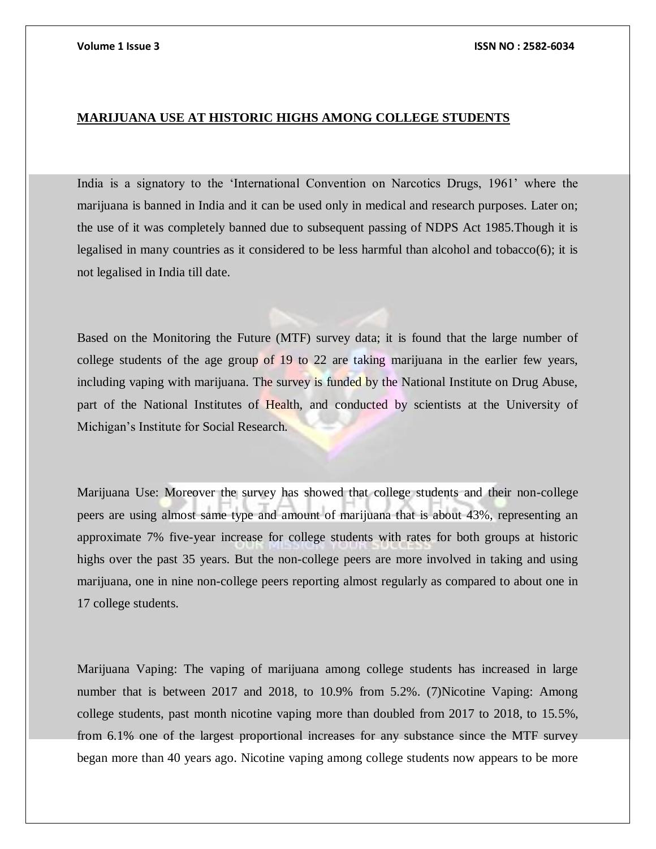# **MARIJUANA USE AT HISTORIC HIGHS AMONG COLLEGE STUDENTS**

India is a signatory to the 'International Convention on Narcotics Drugs, 1961' where the marijuana is banned in India and it can be used only in medical and research purposes. Later on; the use of it was completely banned due to subsequent passing of NDPS Act 1985.Though it is legalised in many countries as it considered to be less harmful than alcohol and tobacco(6); it is not legalised in India till date.

Based on the Monitoring the Future (MTF) survey data; it is found that the large number of college students of the age group of 19 to 22 are taking marijuana in the earlier few years, including vaping with marijuana. The survey is funded by the National Institute on Drug Abuse, part of the National Institutes of Health, and conducted by scientists at the University of Michigan's Institute for Social Research.

Marijuana Use: Moreover the survey has showed that college students and their non-college peers are using almost same type and amount of marijuana that is about 43%, representing an approximate 7% five-year increase for college students with rates for both groups at historic highs over the past 35 years. But the non-college peers are more involved in taking and using marijuana, one in nine non-college peers reporting almost regularly as compared to about one in 17 college students.

Marijuana Vaping: The vaping of marijuana among college students has increased in large number that is between 2017 and 2018, to 10.9% from 5.2%. (7)Nicotine Vaping: Among college students, past month nicotine vaping more than doubled from 2017 to 2018, to 15.5%, from 6.1% one of the largest proportional increases for any substance since the MTF survey began more than 40 years ago. Nicotine vaping among college students now appears to be more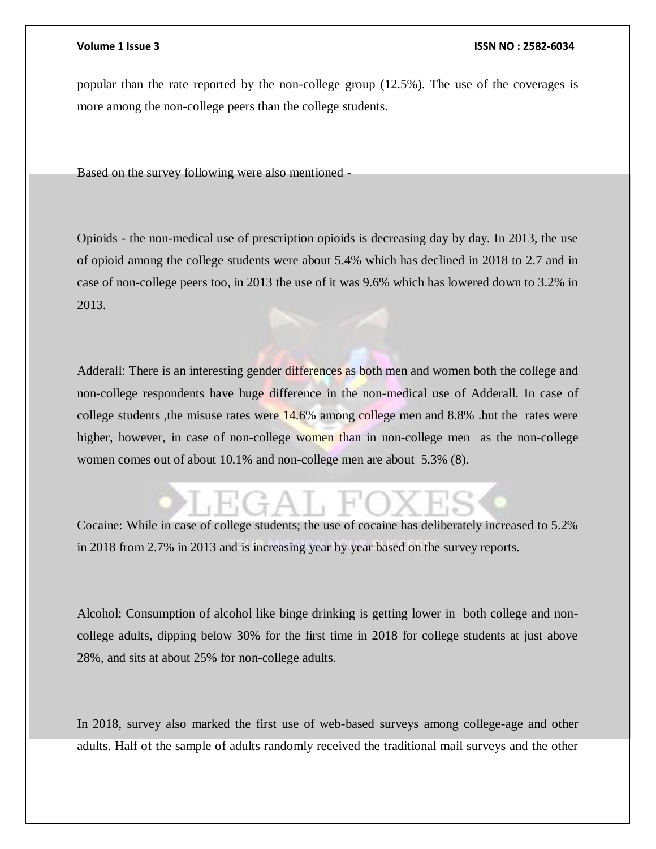popular than the rate reported by the non-college group (12.5%). The use of the coverages is more among the non-college peers than the college students.

Based on the survey following were also mentioned -

Opioids - the non-medical use of prescription opioids is decreasing day by day. In 2013, the use of opioid among the college students were about 5.4% which has declined in 2018 to 2.7 and in case of non-college peers too, in 2013 the use of it was 9.6% which has lowered down to 3.2% in 2013.

Adderall: There is an interesting gender differences as both men and women both the college and non-college respondents have huge difference in the non-medical use of Adderall. In case of college students ,the misuse rates were 14.6% among college men and 8.8% .but the rates were higher, however, in case of non-college women than in non-college men as the non-college women comes out of about 10.1% and non-college men are about 5.3% (8).

Cocaine: While in case of college students; the use of cocaine has deliberately increased to 5.2% in 2018 from 2.7% in 2013 and is increasing year by year based on the survey reports.

Alcohol: Consumption of alcohol like binge drinking is getting lower in both college and noncollege adults, dipping below 30% for the first time in 2018 for college students at just above 28%, and sits at about 25% for non-college adults.

In 2018, survey also marked the first use of web-based surveys among college-age and other adults. Half of the sample of adults randomly received the traditional mail surveys and the other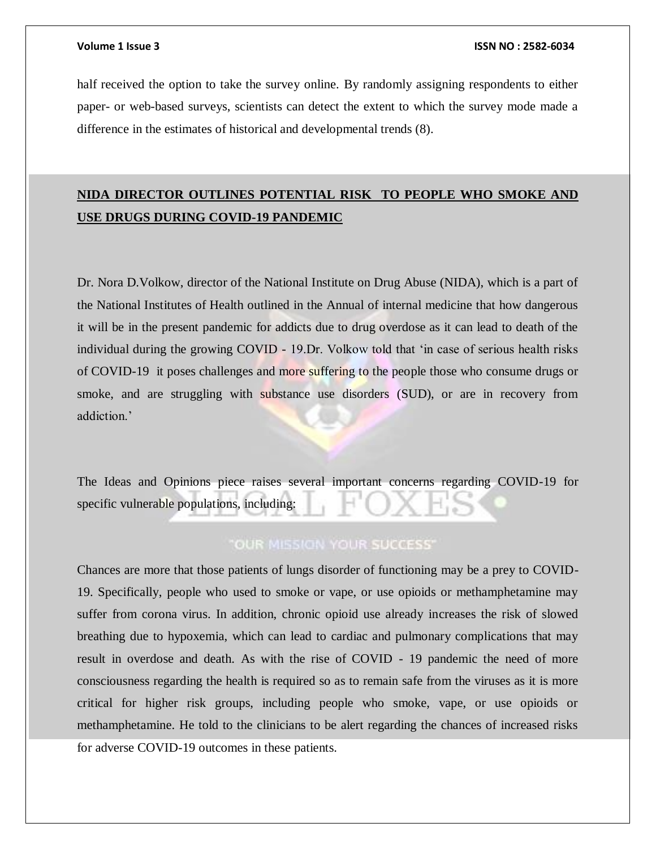half received the option to take the survey online. By randomly assigning respondents to either paper- or web-based surveys, scientists can detect the extent to which the survey mode made a difference in the estimates of historical and developmental trends (8).

# **NIDA DIRECTOR OUTLINES POTENTIAL RISK TO PEOPLE WHO SMOKE AND USE DRUGS DURING COVID-19 PANDEMIC**

Dr. Nora D.Volkow, director of the National Institute on Drug Abuse (NIDA), which is a part of the National Institutes of Health outlined in the Annual of internal medicine that how dangerous it will be in the present pandemic for addicts due to drug overdose as it can lead to death of the individual during the growing COVID - 19.Dr. Volkow told that 'in case of serious health risks of COVID-19 it poses challenges and more suffering to the people those who consume drugs or smoke, and are struggling with substance use disorders (SUD), or are in recovery from addiction.'

The Ideas and Opinions piece raises several important concerns regarding COVID-19 for specific vulnerable populations, including:

# **"OUR MISSION YOUR SUCCESS"**

Chances are more that those patients of lungs disorder of functioning may be a prey to COVID-19. Specifically, people who used to smoke or vape, or use opioids or methamphetamine may suffer from corona virus. In addition, chronic opioid use already increases the risk of slowed breathing due to hypoxemia, which can lead to cardiac and pulmonary complications that may result in overdose and death. As with the rise of COVID - 19 pandemic the need of more consciousness regarding the health is required so as to remain safe from the viruses as it is more critical for higher risk groups, including people who smoke, vape, or use opioids or methamphetamine. He told to the clinicians to be alert regarding the chances of increased risks for adverse COVID-19 outcomes in these patients.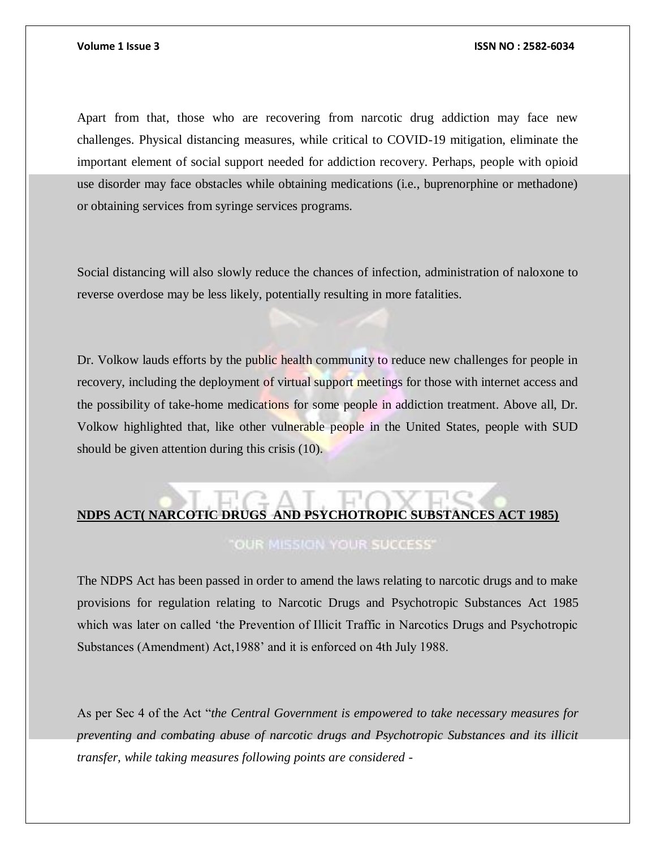Apart from that, those who are recovering from narcotic drug addiction may face new challenges. Physical distancing measures, while critical to COVID-19 mitigation, eliminate the important element of social support needed for addiction recovery. Perhaps, people with opioid use disorder may face obstacles while obtaining medications (i.e., buprenorphine or methadone) or obtaining services from syringe services programs.

Social distancing will also slowly reduce the chances of infection, administration of naloxone to reverse overdose may be less likely, potentially resulting in more fatalities.

Dr. Volkow lauds efforts by the public health community to reduce new challenges for people in recovery, including the deployment of virtual support meetings for those with internet access and the possibility of take-home medications for some people in addiction treatment. Above all, Dr. Volkow highlighted that, like other vulnerable people in the United States, people with SUD should be given attention during this crisis (10).

# **NDPS ACT( NARCOTIC DRUGS AND PSYCHOTROPIC SUBSTANCES ACT 1985)**

**"OUR MISSION YOUR SUCCESS"** 

The NDPS Act has been passed in order to amend the laws relating to narcotic drugs and to make provisions for regulation relating to Narcotic Drugs and Psychotropic Substances Act 1985 which was later on called 'the Prevention of Illicit Traffic in Narcotics Drugs and Psychotropic Substances (Amendment) Act,1988' and it is enforced on 4th July 1988.

As per Sec 4 of the Act "*the Central Government is empowered to take necessary measures for preventing and combating abuse of narcotic drugs and Psychotropic Substances and its illicit transfer, while taking measures following points are considered -*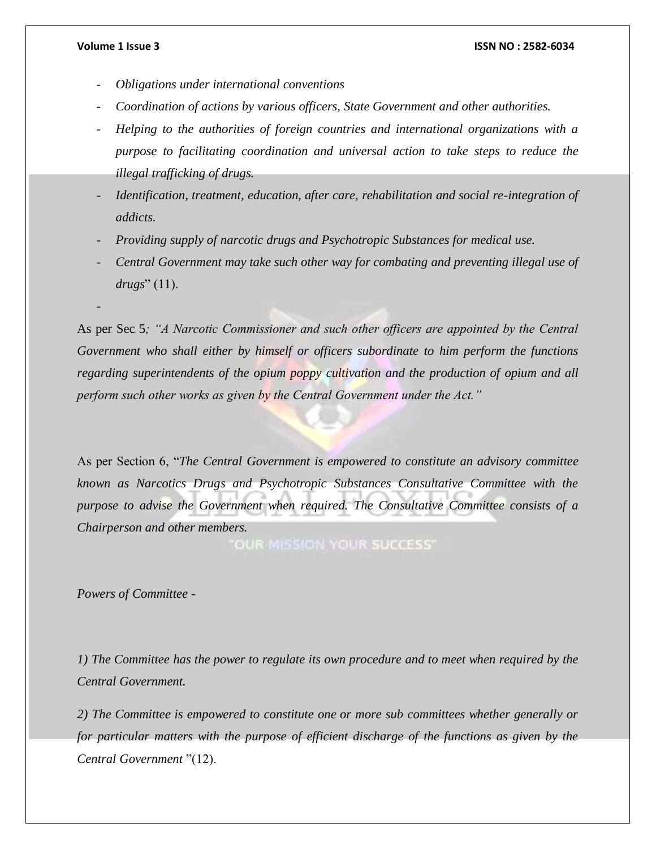-

### **Volume 1 Issue 3 ISSN NO : 2582-6034**

- *Obligations under international conventions*
- *Coordination of actions by various officers, State Government and other authorities.*
- *Helping to the authorities of foreign countries and international organizations with a purpose to facilitating coordination and universal action to take steps to reduce the illegal trafficking of drugs.*
- *Identification, treatment, education, after care, rehabilitation and social re-integration of addicts.*
- *Providing supply of narcotic drugs and Psychotropic Substances for medical use.*
- *Central Government may take such other way for combating and preventing illegal use of drugs*" (11).

As per Sec 5*; "A Narcotic Commissioner and such other officers are appointed by the Central Government who shall either by himself or officers subordinate to him perform the functions regarding superintendents of the opium poppy cultivation and the production of opium and all perform such other works as given by the Central Government under the Act."*

As per Section 6, "*The Central Government is empowered to constitute an advisory committee known as Narcotics Drugs and Psychotropic Substances Consultative Committee with the purpose to advise the Government when required. The Consultative Committee consists of a Chairperson and other members.*

OUR MISSION YOUR SUCCESS"

*Powers of Committee -*

*1) The Committee has the power to regulate its own procedure and to meet when required by the Central Government.*

*2) The Committee is empowered to constitute one or more sub committees whether generally or for particular matters with the purpose of efficient discharge of the functions as given by the Central Government* "(12).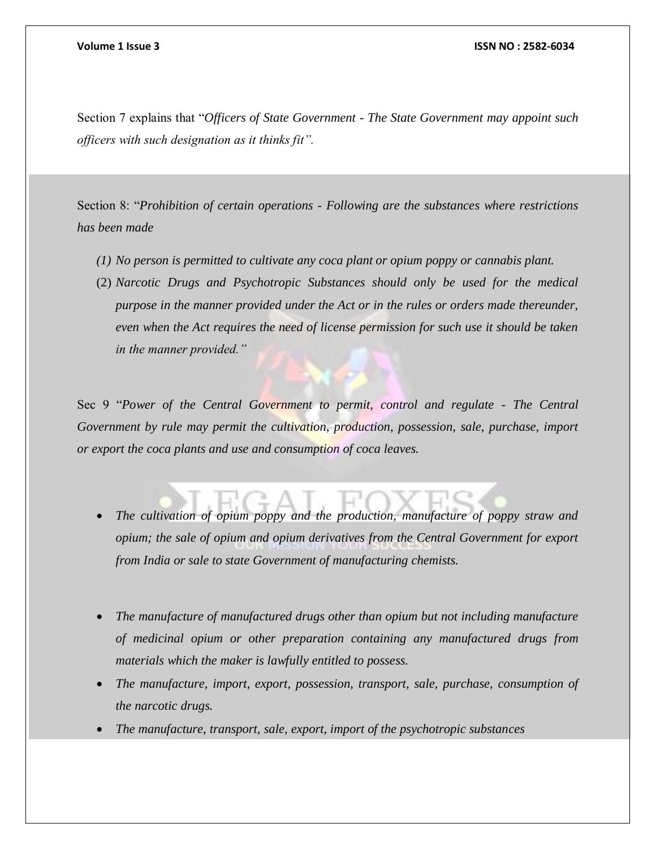Section 7 explains that "*Officers of State Government - The State Government may appoint such officers with such designation as it thinks fit".*

Section 8: "*Prohibition of certain operations - Following are the substances where restrictions has been made* 

- *(1) No person is permitted to cultivate any coca plant or opium poppy or cannabis plant.*
- (2) *Narcotic Drugs and Psychotropic Substances should only be used for the medical purpose in the manner provided under the Act or in the rules or orders made thereunder, even when the Act requires the need of license permission for such use it should be taken in the manner provided."*

Sec 9 "*Power of the Central Government to permit, control and regulate - The Central Government by rule may permit the cultivation, production, possession, sale, purchase, import or export the coca plants and use and consumption of coca leaves.*

- *The cultivation of opium poppy and the production, manufacture of poppy straw and opium; the sale of opium and opium derivatives from the Central Government for export from India or sale to state Government of manufacturing chemists.*
- *The manufacture of manufactured drugs other than opium but not including manufacture of medicinal opium or other preparation containing any manufactured drugs from materials which the maker is lawfully entitled to possess.*
- *The manufacture, import, export, possession, transport, sale, purchase, consumption of the narcotic drugs.*
- *The manufacture, transport, sale, export, import of the psychotropic substances*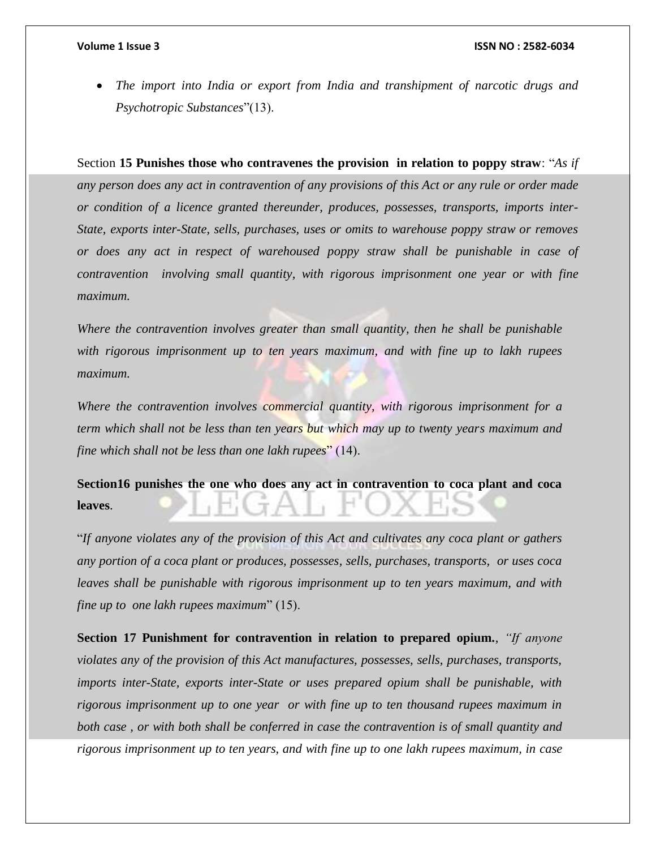*The import into India or export from India and transhipment of narcotic drugs and Psychotropic Substances*"(13).

Section **15 Punishes those who contravenes the provision in relation to poppy straw**: "*As if any person does any act in contravention of any provisions of this Act or any rule or order made or condition of a licence granted thereunder, produces, possesses, transports, imports inter-State, exports inter-State, sells, purchases, uses or omits to warehouse poppy straw or removes or does any act in respect of warehoused poppy straw shall be punishable in case of contravention involving small quantity, with rigorous imprisonment one year or with fine maximum.*

*Where the contravention involves greater than small quantity, then he shall be punishable with rigorous imprisonment up to ten years maximum, and with fine up to lakh rupees maximum.*

*Where the contravention involves commercial quantity, with rigorous imprisonment for a term which shall not be less than ten years but which may up to twenty years maximum and fine which shall not be less than one lakh rupees*" (14).

**Section16 punishes the one who does any act in contravention to coca plant and coca leaves**.

"*If anyone violates any of the provision of this Act and cultivates any coca plant or gathers any portion of a coca plant or produces, possesses, sells, purchases, transports, or uses coca leaves shall be punishable with rigorous imprisonment up to ten years maximum, and with fine up to one lakh rupees maximum*" (15).

**Section 17 Punishment for contravention in relation to prepared opium.**, *"If anyone violates any of the provision of this Act manufactures, possesses, sells, purchases, transports, imports inter-State, exports inter-State or uses prepared opium shall be punishable, with rigorous imprisonment up to one year or with fine up to ten thousand rupees maximum in both case , or with both shall be conferred in case the contravention is of small quantity and rigorous imprisonment up to ten years, and with fine up to one lakh rupees maximum, in case*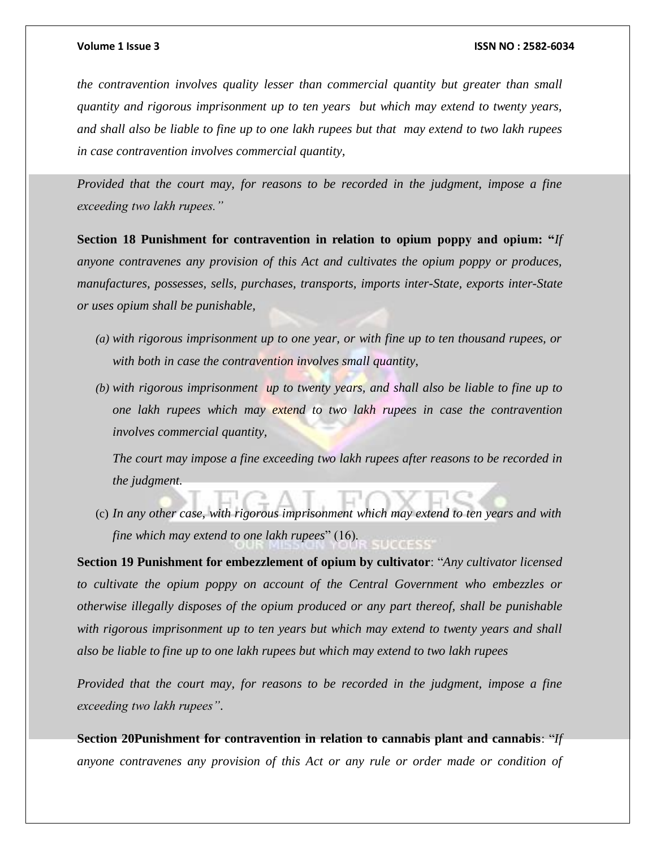*the contravention involves quality lesser than commercial quantity but greater than small quantity and rigorous imprisonment up to ten years but which may extend to twenty years, and shall also be liable to fine up to one lakh rupees but that may extend to two lakh rupees in case contravention involves commercial quantity,*

*Provided that the court may, for reasons to be recorded in the judgment, impose a fine exceeding two lakh rupees."*

**Section 18 Punishment for contravention in relation to opium poppy and opium: "***If anyone contravenes any provision of this Act and cultivates the opium poppy or produces, manufactures, possesses, sells, purchases, transports, imports inter-State, exports inter-State or uses opium shall be punishable,*

- *(a) with rigorous imprisonment up to one year, or with fine up to ten thousand rupees, or with both in case the contravention involves small quantity,*
- *(b) with rigorous imprisonment up to twenty years, and shall also be liable to fine up to one lakh rupees which may extend to two lakh rupees in case the contravention involves commercial quantity,*

*The court may impose a fine exceeding two lakh rupees after reasons to be recorded in the judgment.*

(c) *In any other case, with rigorous imprisonment which may extend to ten years and with fine which may extend to one lakh rupees*" (16).

**Section 19 Punishment for embezzlement of opium by cultivator**: "*Any cultivator licensed to cultivate the opium poppy on account of the Central Government who embezzles or otherwise illegally disposes of the opium produced or any part thereof, shall be punishable with rigorous imprisonment up to ten years but which may extend to twenty years and shall also be liable to fine up to one lakh rupees but which may extend to two lakh rupees*

*Provided that the court may, for reasons to be recorded in the judgment, impose a fine exceeding two lakh rupees"*.

**Section 20Punishment for contravention in relation to cannabis plant and cannabis**: "*If anyone contravenes any provision of this Act or any rule or order made or condition of*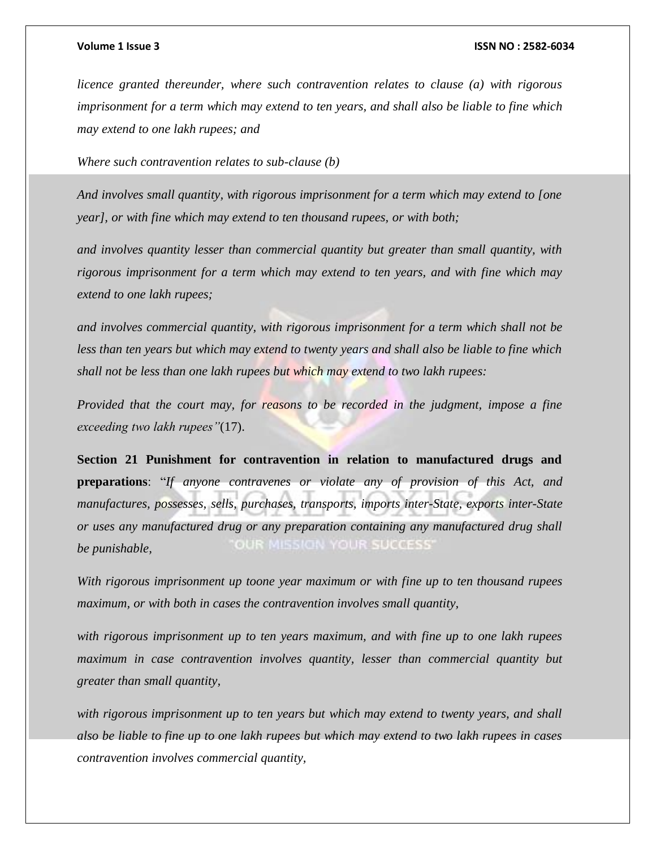*licence granted thereunder, where such contravention relates to clause (a) with rigorous imprisonment for a term which may extend to ten years, and shall also be liable to fine which may extend to one lakh rupees; and*

*Where such contravention relates to sub-clause (b)*

*And involves small quantity, with rigorous imprisonment for a term which may extend to [one year], or with fine which may extend to ten thousand rupees, or with both;*

*and involves quantity lesser than commercial quantity but greater than small quantity, with rigorous imprisonment for a term which may extend to ten years, and with fine which may extend to one lakh rupees;*

*and involves commercial quantity, with rigorous imprisonment for a term which shall not be less than ten years but which may extend to twenty years and shall also be liable to fine which shall not be less than one lakh rupees but which may extend to two lakh rupees:*

*Provided that the court may, for reasons to be recorded in the judgment, impose a fine exceeding two lakh rupees"*(17).

**Section 21 Punishment for contravention in relation to manufactured drugs and preparations**: "*If anyone contravenes or violate any of provision of this Act, and manufactures, possesses, sells, purchases, transports, imports inter-State, exports inter-State or uses any manufactured drug or any preparation containing any manufactured drug shall*  OUR MISSION YOUR SUCCESS *be punishable,*

*With rigorous imprisonment up toone year maximum or with fine up to ten thousand rupees maximum, or with both in cases the contravention involves small quantity,*

*with rigorous imprisonment up to ten years maximum, and with fine up to one lakh rupees maximum in case contravention involves quantity, lesser than commercial quantity but greater than small quantity,* 

*with rigorous imprisonment up to ten years but which may extend to twenty years, and shall also be liable to fine up to one lakh rupees but which may extend to two lakh rupees in cases contravention involves commercial quantity,*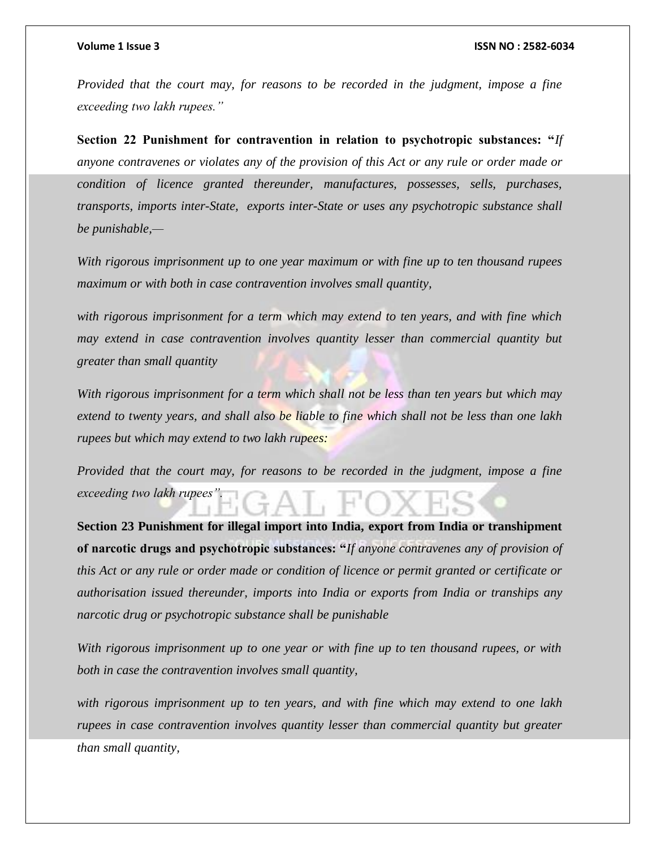*Provided that the court may, for reasons to be recorded in the judgment, impose a fine exceeding two lakh rupees."*

**Section 22 Punishment for contravention in relation to psychotropic substances: "***If anyone contravenes or violates any of the provision of this Act or any rule or order made or condition of licence granted thereunder, manufactures, possesses, sells, purchases, transports, imports inter-State, exports inter-State or uses any psychotropic substance shall be punishable,—*

*With rigorous imprisonment up to one year maximum or with fine up to ten thousand rupees maximum or with both in case contravention involves small quantity,*

*with rigorous imprisonment for a term which may extend to ten years, and with fine which may extend in case contravention involves quantity lesser than commercial quantity but greater than small quantity*

*With rigorous imprisonment for a term which shall not be less than ten years but which may extend to twenty years, and shall also be liable to fine which shall not be less than one lakh rupees but which may extend to two lakh rupees:*

*Provided that the court may, for reasons to be recorded in the judgment, impose a fine exceeding two lakh rupees".*

**Section 23 Punishment for illegal import into India, export from India or transhipment of narcotic drugs and psychotropic substances: "***If anyone contravenes any of provision of this Act or any rule or order made or condition of licence or permit granted or certificate or authorisation issued thereunder, imports into India or exports from India or tranships any narcotic drug or psychotropic substance shall be punishable*

*With rigorous imprisonment up to one year or with fine up to ten thousand rupees, or with both in case the contravention involves small quantity,*

*with rigorous imprisonment up to ten years, and with fine which may extend to one lakh rupees in case contravention involves quantity lesser than commercial quantity but greater than small quantity,*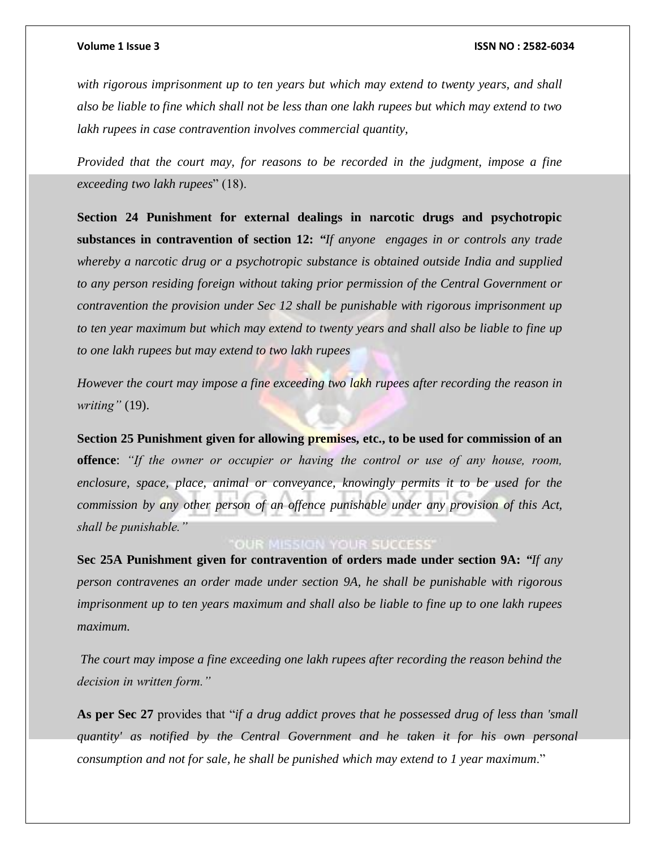*with rigorous imprisonment up to ten years but which may extend to twenty years, and shall also be liable to fine which shall not be less than one lakh rupees but which may extend to two lakh rupees in case contravention involves commercial quantity,*

*Provided that the court may, for reasons to be recorded in the judgment, impose a fine exceeding two lakh rupees*" (18).

**Section 24 Punishment for external dealings in narcotic drugs and psychotropic substances in contravention of section 12:** *"If anyone engages in or controls any trade whereby a narcotic drug or a psychotropic substance is obtained outside India and supplied to any person residing foreign without taking prior permission of the Central Government or contravention the provision under Sec 12 shall be punishable with rigorous imprisonment up to ten year maximum but which may extend to twenty years and shall also be liable to fine up to one lakh rupees but may extend to two lakh rupees*

*However the court may impose a fine exceeding two lakh rupees after recording the reason in writing"* (19).

**Section 25 Punishment given for allowing premises, etc., to be used for commission of an offence**: *"If the owner or occupier or having the control or use of any house, room, enclosure, space, place, animal or conveyance, knowingly permits it to be used for the commission by any other person of an offence punishable under any provision of this Act, shall be punishable."*

# **OUR MISSION YOUR SUCCESS'**

**Sec 25A Punishment given for contravention of orders made under section 9A:** *"If any person contravenes an order made under section 9A, he shall be punishable with rigorous imprisonment up to ten years maximum and shall also be liable to fine up to one lakh rupees maximum.*

*The court may impose a fine exceeding one lakh rupees after recording the reason behind the decision in written form."*

**As per Sec 27** provides that "*if a drug addict proves that he possessed drug of less than 'small quantity' as notified by the Central Government and he taken it for his own personal consumption and not for sale, he shall be punished which may extend to 1 year maximum*."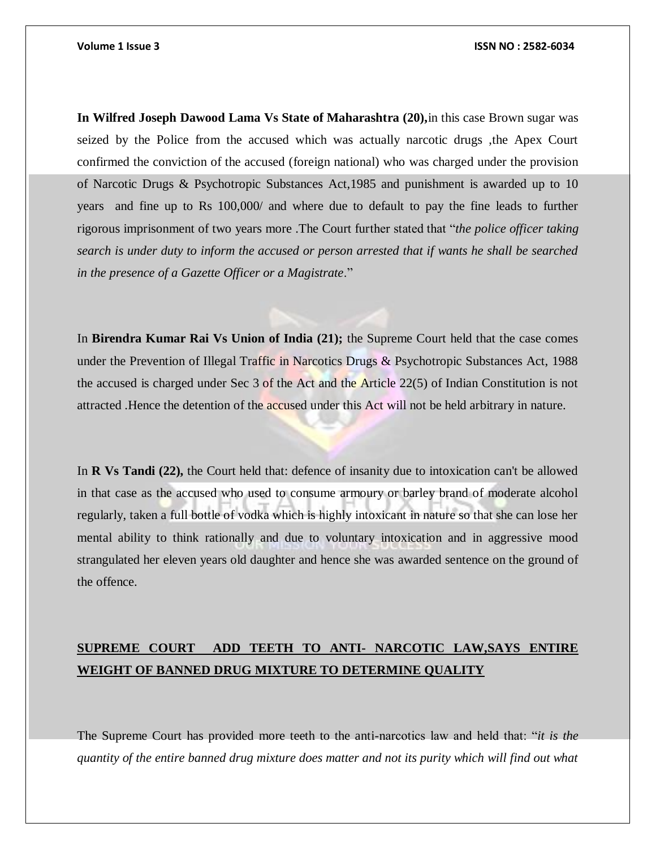**In Wilfred Joseph Dawood Lama Vs State of Maharashtra (20),**in this case Brown sugar was seized by the Police from the accused which was actually narcotic drugs ,the Apex Court confirmed the conviction of the accused (foreign national) who was charged under the provision of Narcotic Drugs & Psychotropic Substances Act,1985 and punishment is awarded up to 10 years and fine up to Rs 100,000/ and where due to default to pay the fine leads to further rigorous imprisonment of two years more .The Court further stated that "*the police officer taking search is under duty to inform the accused or person arrested that if wants he shall be searched in the presence of a Gazette Officer or a Magistrate*."

In **Birendra Kumar Rai Vs Union of India (21);** the Supreme Court held that the case comes under the Prevention of Illegal Traffic in Narcotics Drugs & Psychotropic Substances Act, 1988 the accused is charged under Sec 3 of the Act and the Article 22(5) of Indian Constitution is not attracted .Hence the detention of the accused under this Act will not be held arbitrary in nature.

In **R Vs Tandi (22),** the Court held that: defence of insanity due to intoxication can't be allowed in that case as the accused who used to consume armoury or barley brand of moderate alcohol regularly, taken a full bottle of vodka which is highly intoxicant in nature so that she can lose her mental ability to think rationally and due to voluntary intoxication and in aggressive mood strangulated her eleven years old daughter and hence she was awarded sentence on the ground of the offence.

# **SUPREME COURT ADD TEETH TO ANTI- NARCOTIC LAW,SAYS ENTIRE WEIGHT OF BANNED DRUG MIXTURE TO DETERMINE QUALITY**

The Supreme Court has provided more teeth to the anti-narcotics law and held that: "*it is the quantity of the entire banned drug mixture does matter and not its purity which will find out what*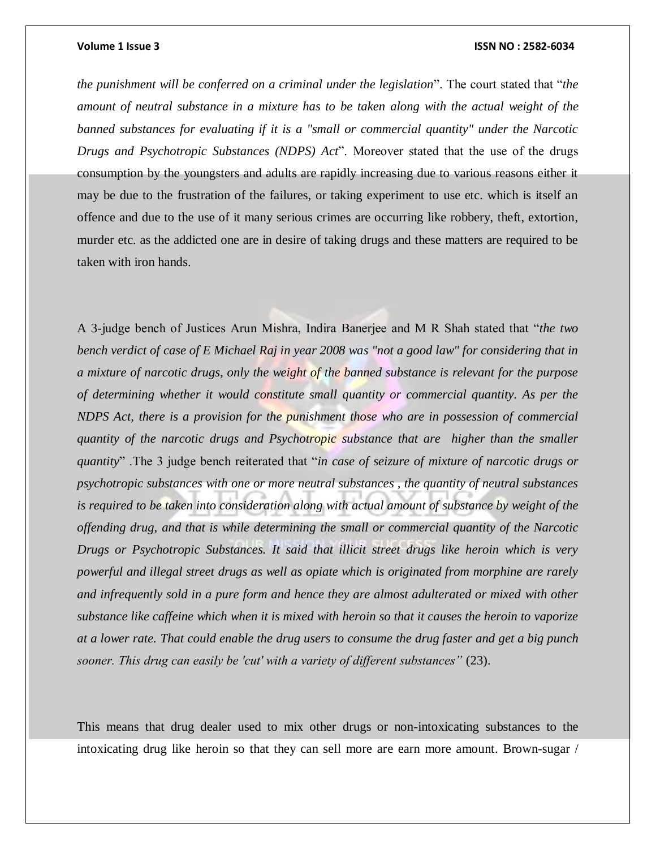*the punishment will be conferred on a criminal under the legislation*". The court stated that "*the amount of neutral substance in a mixture has to be taken along with the actual weight of the banned substances for evaluating if it is a "small or commercial quantity" under the Narcotic Drugs and Psychotropic Substances (NDPS) Act*". Moreover stated that the use of the drugs consumption by the youngsters and adults are rapidly increasing due to various reasons either it may be due to the frustration of the failures, or taking experiment to use etc. which is itself an offence and due to the use of it many serious crimes are occurring like robbery, theft, extortion, murder etc. as the addicted one are in desire of taking drugs and these matters are required to be taken with iron hands.

A 3-judge bench of Justices Arun Mishra, Indira Banerjee and M R Shah stated that "*the two bench verdict of case of E Michael Raj in year 2008 was "not a good law" for considering that in a mixture of narcotic drugs, only the weight of the banned substance is relevant for the purpose of determining whether it would constitute small quantity or commercial quantity. As per the NDPS Act, there is a provision for the punishment those who are in possession of commercial quantity of the narcotic drugs and Psychotropic substance that are higher than the smaller quantity*" .The 3 judge bench reiterated that "*in case of seizure of mixture of narcotic drugs or psychotropic substances with one or more neutral substances , the quantity of neutral substances is required to be taken into consideration along with actual amount of substance by weight of the offending drug, and that is while determining the small or commercial quantity of the Narcotic Drugs or Psychotropic Substances. It said that illicit street drugs like heroin which is very powerful and illegal street drugs as well as opiate which is originated from morphine are rarely and infrequently sold in a pure form and hence they are almost adulterated or mixed with other substance like caffeine which when it is mixed with heroin so that it causes the heroin to vaporize at a lower rate. That could enable the drug users to consume the drug faster and get a big punch sooner. This drug can easily be 'cut' with a variety of different substances"* (23).

This means that drug dealer used to mix other drugs or non-intoxicating substances to the intoxicating drug like heroin so that they can sell more are earn more amount. Brown-sugar /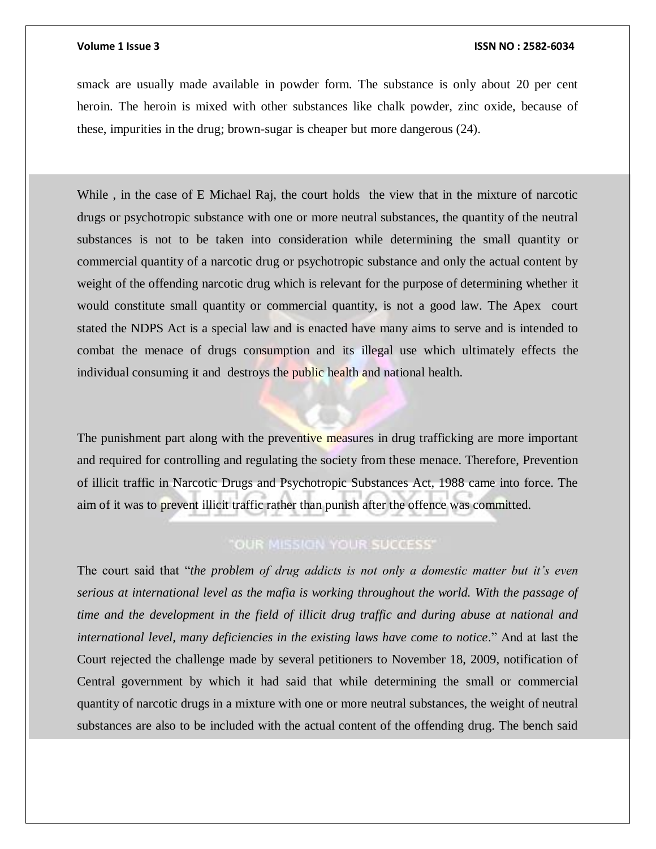smack are usually made available in powder form. The substance is only about 20 per cent heroin. The heroin is mixed with other substances like chalk powder, zinc oxide, because of these, impurities in the drug; brown-sugar is cheaper but more dangerous (24).

While, in the case of E Michael Raj, the court holds the view that in the mixture of narcotic drugs or psychotropic substance with one or more neutral substances, the quantity of the neutral substances is not to be taken into consideration while determining the small quantity or commercial quantity of a narcotic drug or psychotropic substance and only the actual content by weight of the offending narcotic drug which is relevant for the purpose of determining whether it would constitute small quantity or commercial quantity, is not a good law. The Apex court stated the NDPS Act is a special law and is enacted have many aims to serve and is intended to combat the menace of drugs consumption and its illegal use which ultimately effects the individual consuming it and destroys the public health and national health.

The punishment part along with the preventive measures in drug trafficking are more important and required for controlling and regulating the society from these menace. Therefore, Prevention of illicit traffic in Narcotic Drugs and Psychotropic Substances Act, 1988 came into force. The aim of it was to prevent illicit traffic rather than punish after the offence was committed.

# "OUR MISSION YOUR SUCCESS"

The court said that "*the problem of drug addicts is not only a domestic matter but it's even serious at international level as the mafia is working throughout the world. With the passage of time and the development in the field of illicit drug traffic and during abuse at national and international level, many deficiencies in the existing laws have come to notice*." And at last the Court rejected the challenge made by several petitioners to November 18, 2009, notification of Central government by which it had said that while determining the small or commercial quantity of narcotic drugs in a mixture with one or more neutral substances, the weight of neutral substances are also to be included with the actual content of the offending drug. The bench said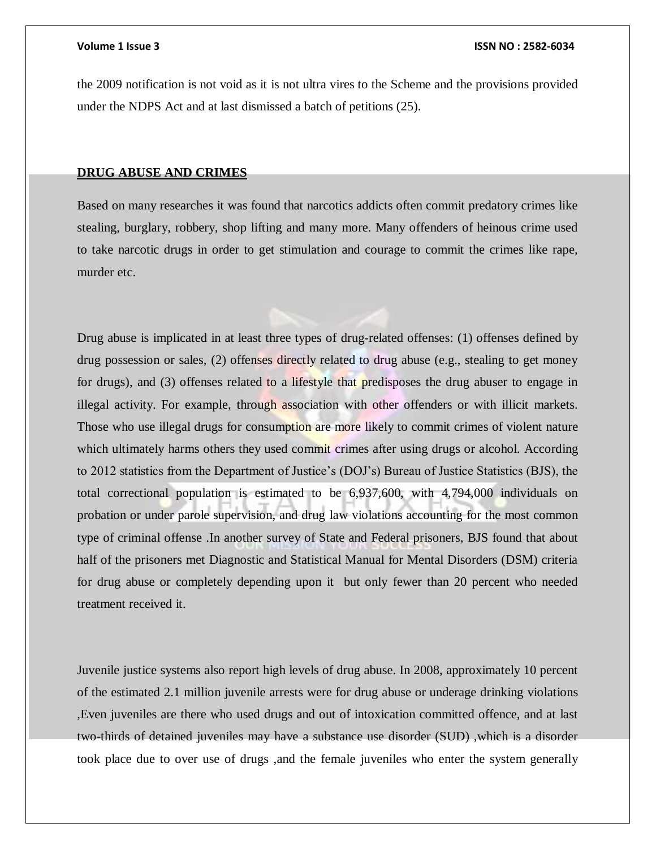the 2009 notification is not void as it is not ultra vires to the Scheme and the provisions provided under the NDPS Act and at last dismissed a batch of petitions (25).

# **DRUG ABUSE AND CRIMES**

Based on many researches it was found that narcotics addicts often commit predatory crimes like stealing, burglary, robbery, shop lifting and many more. Many offenders of heinous crime used to take narcotic drugs in order to get stimulation and courage to commit the crimes like rape, murder etc.

Drug abuse is implicated in at least three types of drug-related offenses: (1) offenses defined by drug possession or sales, (2) offenses directly related to drug abuse (e.g., stealing to get money for drugs), and (3) offenses related to a lifestyle that predisposes the drug abuser to engage in illegal activity. For example, through association with other offenders or with illicit markets. Those who use illegal drugs for consumption are more likely to commit crimes of violent nature which ultimately harms others they used commit crimes after using drugs or alcohol. According to 2012 statistics from the Department of Justice's (DOJ's) Bureau of Justice Statistics (BJS), the total correctional population is estimated to be 6,937,600, with 4,794,000 individuals on probation or under parole supervision, and drug law violations accounting for the most common type of criminal offense .In another survey of State and Federal prisoners, BJS found that about half of the prisoners met Diagnostic and Statistical Manual for Mental Disorders (DSM) criteria for drug abuse or completely depending upon it but only fewer than 20 percent who needed treatment received it.

Juvenile justice systems also report high levels of drug abuse. In 2008, approximately 10 percent of the estimated 2.1 million juvenile arrests were for drug abuse or underage drinking violations ,Even juveniles are there who used drugs and out of intoxication committed offence, and at last two-thirds of detained juveniles may have a substance use disorder (SUD) ,which is a disorder took place due to over use of drugs ,and the female juveniles who enter the system generally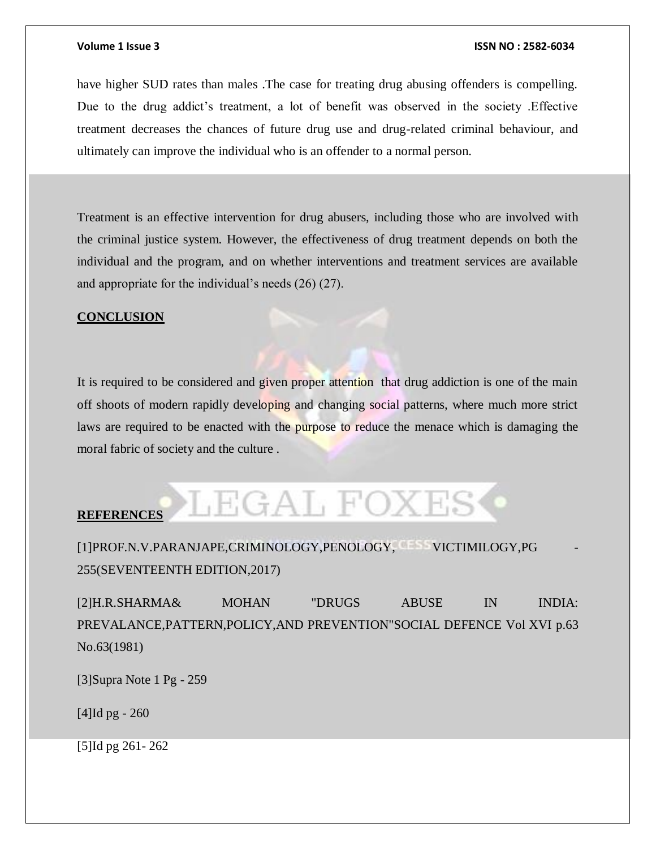have higher SUD rates than males .The case for treating drug abusing offenders is compelling. Due to the drug addict's treatment, a lot of benefit was observed in the society .Effective treatment decreases the chances of future drug use and drug-related criminal behaviour, and ultimately can improve the individual who is an offender to a normal person.

Treatment is an effective intervention for drug abusers, including those who are involved with the criminal justice system. However, the effectiveness of drug treatment depends on both the individual and the program, and on whether interventions and treatment services are available and appropriate for the individual's needs (26) (27).

### **CONCLUSION**

It is required to be considered and given proper attention that drug addiction is one of the main off shoots of modern rapidly developing and changing social patterns, where much more strict laws are required to be enacted with the purpose to reduce the menace which is damaging the moral fabric of society and the culture .

# JEGAL FOXES **REFERENCES**

[1]PROF.N.V.PARANJAPE,CRIMINOLOGY,PENOLOGY, VICTIMILOGY,PG - 255(SEVENTEENTH EDITION,2017)

[2]H.R.SHARMA& MOHAN "DRUGS ABUSE IN INDIA: PREVALANCE,PATTERN,POLICY,AND PREVENTION"SOCIAL DEFENCE Vol XVI p.63 No.63(1981)

[3]Supra Note 1 Pg - 259

[4]Id pg - 260

[5]Id pg 261- 262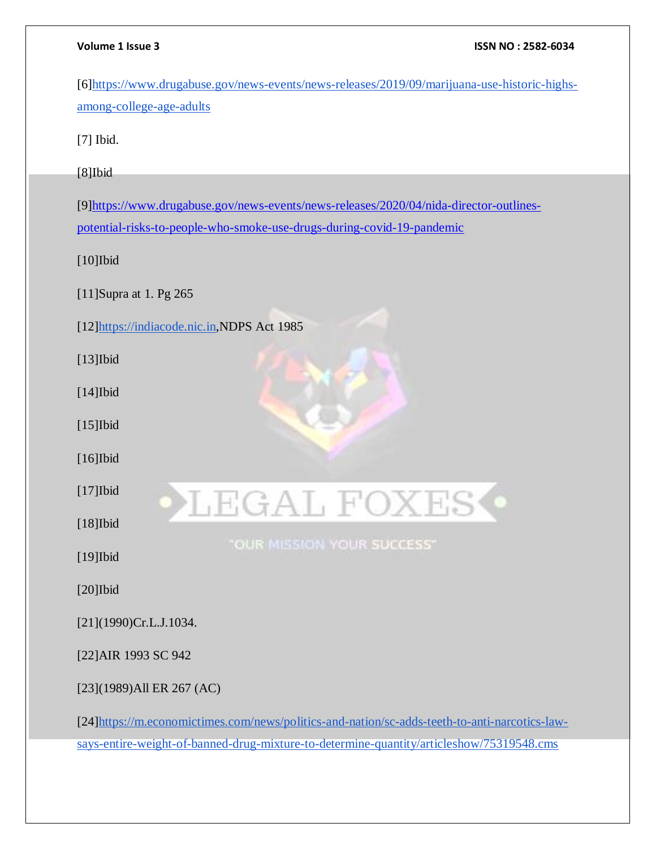[6[\]https://www.drugabuse.gov/news-events/news-releases/2019/09/marijuana-use-historic-highs](https://www.drugabuse.gov/news-events/news-releases/2019/09/marijuana-use-historic-highs-among-college-age-adults)[among-college-age-adults](https://www.drugabuse.gov/news-events/news-releases/2019/09/marijuana-use-historic-highs-among-college-age-adults)

[7] Ibid.

[8]Ibid

[9[\]https://www.drugabuse.gov/news-events/news-releases/2020/04/nida-director-outlines](https://www.drugabuse.gov/news-events/news-releases/2020/04/nida-director-outlines-potential-risks-to-people-who-smoke-use-drugs-during-covid-19-pandemic)[potential-risks-to-people-who-smoke-use-drugs-during-covid-19-pandemic](https://www.drugabuse.gov/news-events/news-releases/2020/04/nida-director-outlines-potential-risks-to-people-who-smoke-use-drugs-during-covid-19-pandemic)

[10]Ibid

[11]Supra at 1. Pg 265

[12[\]https://indiacode.nic.in,](https://indiacode.nic.in/)NDPS Act 1985

[13]Ibid

[14]Ibid

[15]Ibid

[16]Ibid

[17]Ibid

[18]Ibid

[19]Ibid

[20]Ibid

[21](1990)Cr.L.J.1034.

[22]AIR 1993 SC 942

[23](1989)All ER 267 (AC)

[24[\]https://m.economictimes.com/news/politics-and-nation/sc-adds-teeth-to-anti-narcotics-law](https://m.economictimes.com/news/politics-and-nation/sc-adds-teeth-to-anti-narcotics-law-says-entire-weight-of-banned-drug-mixture-to-determine-quantity/articleshow/75319548.cms)[says-entire-weight-of-banned-drug-mixture-to-determine-quantity/articleshow/75319548.cms](https://m.economictimes.com/news/politics-and-nation/sc-adds-teeth-to-anti-narcotics-law-says-entire-weight-of-banned-drug-mixture-to-determine-quantity/articleshow/75319548.cms)

LEGAL FOXES

"OUR MISSION YOUR SUCCESS"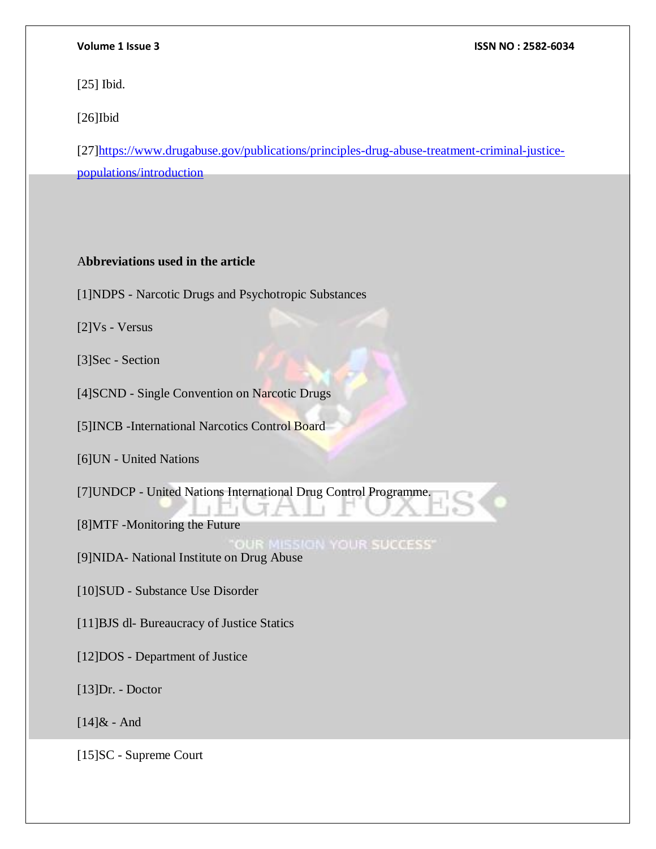[25] Ibid.

[26]Ibid

[27[\]https://www.drugabuse.gov/publications/principles-drug-abuse-treatment-criminal-justice](https://www.drugabuse.gov/publications/principles-drug-abuse-treatment-criminal-justice-populations/introduction)[populations/introduction](https://www.drugabuse.gov/publications/principles-drug-abuse-treatment-criminal-justice-populations/introduction)

# A**bbreviations used in the article**

[1]NDPS - Narcotic Drugs and Psychotropic Substances

[2]Vs - Versus

[3]Sec - Section

[4]SCND - Single Convention on Narcotic Drugs

[5]INCB -International Narcotics Control Board

[6]UN - United Nations

[7]UNDCP - United Nations International Drug Control Programme.

[8]MTF -Monitoring the Future

**JR MISSION YOUR SUCCESS"** 

[9]NIDA- National Institute on Drug Abuse

[10]SUD - Substance Use Disorder

[11]BJS dl- Bureaucracy of Justice Statics

[12]DOS - Department of Justice

[13]Dr. - Doctor

 $[14]$ & - And

[15]SC - Supreme Court